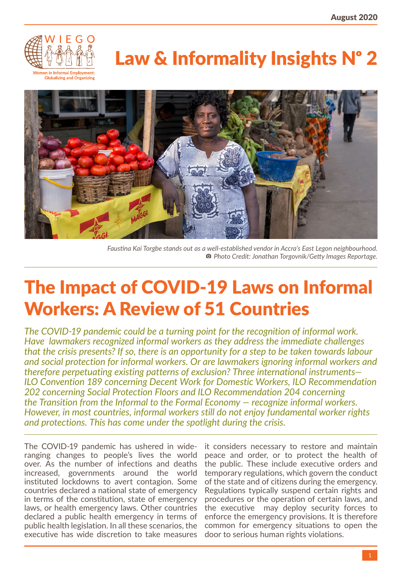

# Law & Informality Insights N° 2



*Faustina Kai Torgbe stands out as a well-established vendor in Accra's East Legon neighbourhood.* **<sup>a</sup>** Photo Credit: Jonathan Torgovnik/Getty Images Reportage.

# The Impact of COVID-19 Laws on Informal Workers: A Review of 51 Countries

*The COVID-19 pandemic could be a turning point for the recognition of informal work. Have lawmakers recognized informal workers as they address the immediate challenges that the crisis presents? If so, there is an opportunity for a step to be taken towards labour and social protection for informal workers. Or are lawmakers ignoring informal workers and therefore perpetuating existing patterns of exclusion? Three international instruments— ILO Convention 189 concerning Decent Work for Domestic Workers, ILO Recommendation 202 concerning Social Protection Floors and ILO Recommendation 204 concerning the Transition from the Informal to the Formal Economy — recognize informal workers. However, in most countries, informal workers still do not enjoy fundamental worker rights and protections. This has come under the spotlight during the crisis.*

The COVID-19 pandemic has ushered in wideranging changes to people's lives the world over. As the number of infections and deaths increased, governments around the world instituted lockdowns to avert contagion. Some countries declared a national state of emergency in terms of the constitution, state of emergency laws, or health emergency laws. Other countries declared a public health emergency in terms of public health legislation. In all these scenarios, the executive has wide discretion to take measures

it considers necessary to restore and maintain peace and order, or to protect the health of the public. These include executive orders and temporary regulations, which govern the conduct of the state and of citizens during the emergency. Regulations typically suspend certain rights and procedures or the operation of certain laws, and the executive may deploy security forces to enforce the emergency provisions. It is therefore common for emergency situations to open the door to serious human rights violations.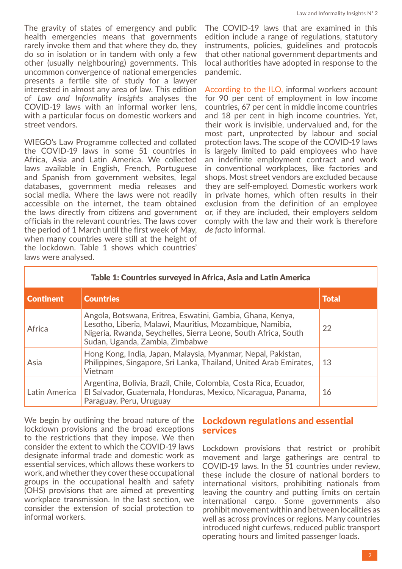The gravity of states of emergency and public health emergencies means that governments rarely invoke them and that where they do, they do so in isolation or in tandem with only a few other (usually neighbouring) governments. This uncommon convergence of national emergencies presents a fertile site of study for a lawyer interested in almost any area of law. This edition of *Law and Informality Insights* analyses the COVID-19 laws with an informal worker lens, with a particular focus on domestic workers and street vendors.

WIEGO's Law Programme collected and collated the COVID-19 laws in some 51 countries in Africa, Asia and Latin America. We collected laws available in English, French, Portuguese and Spanish from government websites, legal databases, government media releases and social media. Where the laws were not readily accessible on the internet, the team obtained the laws directly from citizens and government officials in the relevant countries. The laws cover the period of 1 March until the first week of May, when many countries were still at the height of the lockdown. Table 1 shows which countries' laws were analysed.

The COVID-19 laws that are examined in this edition include a range of regulations, statutory instruments, policies, guidelines and protocols that other national government departments and local authorities have adopted in response to the pandemic.

[According to the ILO,](https://www.ilo.org/wcmsp5/groups/public/---ed_protect/---protrav/---travail/documents/briefingnote/wcms_743623.pdf) informal workers account for 90 per cent of employment in low income countries, 67 per cent in middle income countries and 18 per cent in high income countries. Yet, their work is invisible, undervalued and, for the most part, unprotected by labour and social protection laws. The scope of the COVID-19 laws is largely limited to paid employees who have an indefinite employment contract and work in conventional workplaces, like factories and shops. Most street vendors are excluded because they are self-employed. Domestic workers work in private homes, which often results in their exclusion from the definition of an employee or, if they are included, their employers seldom comply with the law and their work is therefore *de facto* informal.

| Table 1: Countries surveyed in Africa, Asia and Latin America |                                                                                                                                                                                                                              |              |  |
|---------------------------------------------------------------|------------------------------------------------------------------------------------------------------------------------------------------------------------------------------------------------------------------------------|--------------|--|
| <b>Continent</b>                                              | <b>Countries</b>                                                                                                                                                                                                             | <b>Total</b> |  |
| Africa                                                        | Angola, Botswana, Eritrea, Eswatini, Gambia, Ghana, Kenya,<br>Lesotho, Liberia, Malawi, Mauritius, Mozambique, Namibia,<br>Nigeria, Rwanda, Seychelles, Sierra Leone, South Africa, South<br>Sudan, Uganda, Zambia, Zimbabwe | 22           |  |
| Asia                                                          | Hong Kong, India, Japan, Malaysia, Myanmar, Nepal, Pakistan,<br>Philippines, Singapore, Sri Lanka, Thailand, United Arab Emirates,<br>Vietnam                                                                                | 13           |  |
| Latin America                                                 | Argentina, Bolivia, Brazil, Chile, Colombia, Costa Rica, Ecuador,<br>El Salvador, Guatemala, Honduras, Mexico, Nicaragua, Panama,<br>Paraguay, Peru, Uruguay                                                                 | 16           |  |

We begin by outlining the broad nature of the lockdown provisions and the broad exceptions to the restrictions that they impose. We then consider the extent to which the COVID-19 laws designate informal trade and domestic work as essential services, which allows these workers to work, and whether they cover these occupational groups in the occupational health and safety (OHS) provisions that are aimed at preventing workplace transmission. In the last section, we consider the extension of social protection to informal workers.

## Lockdown regulations and essential services

Lockdown provisions that restrict or prohibit movement and large gatherings are central to COVID-19 laws. In the 51 countries under review, these include the closure of national borders to international visitors, prohibiting nationals from leaving the country and putting limits on certain international cargo. Some governments also prohibit movement within and between localities as well as across provinces or regions. Many countries introduced night curfews, reduced public transport operating hours and limited passenger loads.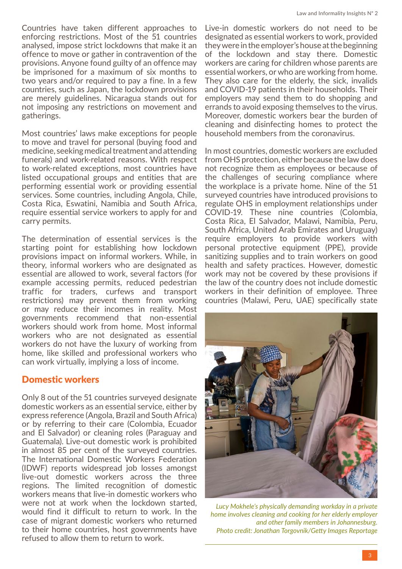Countries have taken different approaches to enforcing restrictions. Most of the 51 countries analysed, impose strict lockdowns that make it an offence to move or gather in contravention of the provisions. Anyone found guilty of an offence may be imprisoned for a maximum of six months to two years and/or required to pay a fine. In a few countries, such as Japan, the lockdown provisions are merely guidelines. Nicaragua stands out for not imposing any restrictions on movement and gatherings.

Most countries' laws make exceptions for people to move and travel for personal (buying food and medicine, seeking medical treatment and attending funerals) and work-related reasons. With respect to work-related exceptions, most countries have listed occupational groups and entities that are performing essential work or providing essential services. Some countries, including Angola, Chile, Costa Rica, Eswatini, Namibia and South Africa, require essential service workers to apply for and carry permits.

The determination of essential services is the starting point for establishing how lockdown provisions impact on informal workers. While, in theory, informal workers who are designated as essential are allowed to work, several factors (for example accessing permits, reduced pedestrian traffic for traders, curfews and transport restrictions) may prevent them from working or may reduce their incomes in reality. Most governments recommend that non-essential workers should work from home. Most informal workers who are not designated as essential workers do not have the luxury of working from home, like skilled and professional workers who can work virtually, implying a loss of income.

# Domestic workers

Only 8 out of the 51 countries surveyed designate domestic workers as an essential service, either by express reference (Angola, Brazil and South Africa) or by referring to their care (Colombia, Ecuador and El Salvador) or cleaning roles (Paraguay and Guatemala). Live-out domestic work is prohibited in almost 85 per cent of the surveyed countries. The International Domestic Workers Federation (IDWF) reports widespread job losses amongst live-out domestic workers across the three regions. The limited recognition of domestic workers means that live-in domestic workers who were not at work when the lockdown started, would find it difficult to return to work. In the case of migrant domestic workers who returned to their home countries, host governments have refused to allow them to return to work.

Live-in domestic workers do not need to be designated as essential workers to work, provided they were in the employer's house at the beginning of the lockdown and stay there. Domestic workers are caring for children whose parents are essential workers, or who are working from home. They also care for the elderly, the sick, invalids and COVID-19 patients in their households. Their employers may send them to do shopping and errands to avoid exposing themselves to the virus. Moreover, domestic workers bear the burden of cleaning and disinfecting homes to protect the household members from the coronavirus.

In most countries, domestic workers are excluded from OHS protection, either because the law does not recognize them as employees or because of the challenges of securing compliance where the workplace is a private home. Nine of the 51 surveyed countries have introduced provisions to regulate OHS in employment relationships under COVID-19. These nine countries (Colombia, Costa Rica, El Salvador, Malawi, Namibia, Peru, South Africa, United Arab Emirates and Uruguay) require employers to provide workers with personal protective equipment (PPE), provide sanitizing supplies and to train workers on good health and safety practices. However, domestic work may not be covered by these provisions if the law of the country does not include domestic workers in their definition of employee. Three countries (Malawi, Peru, UAE) specifically state



*Lucy Mokhele's physically demanding workday in a private home involves cleaning and cooking for her elderly employer and other family members in Johannesburg. Photo credit: Jonathan Torgovnik/Getty Images Reportage*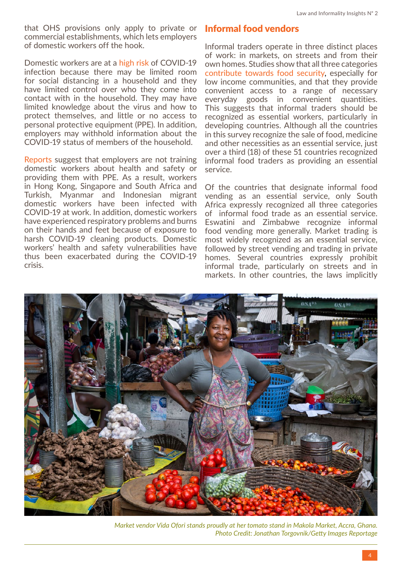that OHS provisions only apply to private or commercial establishments, which lets employers of domestic workers off the hook.

Domestic workers are at a [high risk](https://idwfed.org/en/resources/idwf-policy-brief-the-impacts-of-covid-19-on-domestic-workers-and-policy-responses/@@display-file/attachment_1) of COVID-19 infection because there may be limited room for social distancing in a household and they have limited control over who they come into contact with in the household. They may have limited knowledge about the virus and how to protect themselves, and little or no access to personal protective equipment (PPE). In addition, employers may withhold information about the COVID-19 status of members of the household.

[Reports](https://idwfed.org/en/resources/idwf-policy-brief-the-impacts-of-covid-19-on-domestic-workers-and-policy-responses/@@display-file/attachment_1) suggest that employers are not training domestic workers about health and safety or providing them with PPE. As a result, workers in Hong Kong, Singapore and South Africa and Turkish, Myanmar and Indonesian migrant domestic workers have been infected with COVID-19 at work. In addition, domestic workers have experienced respiratory problems and burns on their hands and feet because of exposure to harsh COVID-19 cleaning products. Domestic workers' health and safety vulnerabilities have thus been exacerbated during the COVID-19 crisis.

# Informal food vendors

Informal traders operate in three distinct places of work: in markets, on streets and from their own homes. [Studies](http://www.fao.org/3/a-y4312e.pdf) show that all three categories [contribute towards food security,](https://www.wiego.org/blog/worlds-street-vendors-life-may-never-be-same-after-covid-19) especially for low income communities, and that they provide convenient access to a range of necessary everyday goods in convenient quantities. This suggests that informal traders should be recognized as essential workers, particularly in developing countries. Although all the countries in this survey recognize the sale of food, medicine and other necessities as an essential service, just over a third (18) of these 51 countries recognized informal food traders as providing an essential service.

Of the countries that designate informal food vending as an essential service, only South Africa expressly recognized all three categories of informal food trade as an essential service. Eswatini and Zimbabwe recognize informal food vending more generally. Market trading is most widely recognized as an essential service, followed by street vending and trading in private homes. Several countries expressly prohibit informal trade, particularly on streets and in markets. In other countries, the laws implicitly



*Market vendor Vida Ofori stands proudly at her tomato stand in Makola Market, Accra, Ghana. Photo Credit: Jonathan Torgovnik/Getty Images Reportage*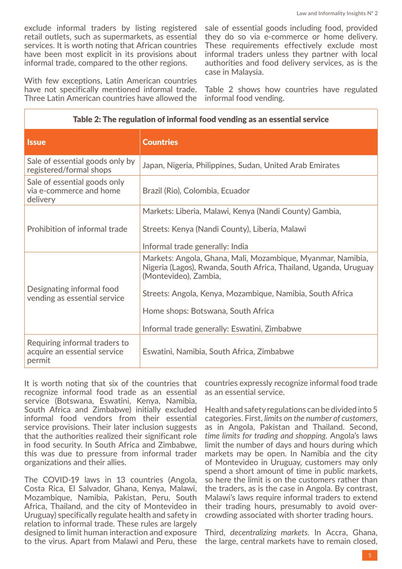exclude informal traders by listing registered retail outlets, such as supermarkets, as essential services. It is worth noting that African countries have been most explicit in its provisions about informal trade, compared to the other regions.

With few exceptions, Latin American countries have not specifically mentioned informal trade. Three Latin American countries have allowed the

sale of essential goods including food, provided they do so via e-commerce or home delivery. These requirements effectively exclude most informal traders unless they partner with local authorities and food delivery services, as is the case in Malaysia.

Table 2 shows how countries have regulated informal food vending.

| <b>Issue</b>                                                            | <b>Countries</b>                                                                                                                                         |  |  |
|-------------------------------------------------------------------------|----------------------------------------------------------------------------------------------------------------------------------------------------------|--|--|
| Sale of essential goods only by<br>registered/formal shops              | Japan, Nigeria, Philippines, Sudan, United Arab Emirates                                                                                                 |  |  |
| Sale of essential goods only<br>via e-commerce and home<br>delivery     | Brazil (Rio), Colombia, Ecuador                                                                                                                          |  |  |
|                                                                         | Markets: Liberia, Malawi, Kenya (Nandi County) Gambia,                                                                                                   |  |  |
| Prohibition of informal trade                                           | Streets: Kenya (Nandi County), Liberia, Malawi                                                                                                           |  |  |
|                                                                         | Informal trade generally: India                                                                                                                          |  |  |
|                                                                         | Markets: Angola, Ghana, Mali, Mozambique, Myanmar, Namibia,<br>Nigeria (Lagos), Rwanda, South Africa, Thailand, Uganda, Uruguay<br>(Montevideo), Zambia, |  |  |
| Designating informal food<br>vending as essential service               | Streets: Angola, Kenya, Mozambique, Namibia, South Africa                                                                                                |  |  |
|                                                                         | Home shops: Botswana, South Africa                                                                                                                       |  |  |
|                                                                         | Informal trade generally: Eswatini, Zimbabwe                                                                                                             |  |  |
| Requiring informal traders to<br>acquire an essential service<br>permit | Eswatini, Namibia, South Africa, Zimbabwe                                                                                                                |  |  |

#### Table 2: The regulation of informal food vending as an essential service

It is worth noting that six of the countries that recognize informal food trade as an essential service (Botswana, Eswatini, Kenya, Namibia, South Africa and Zimbabwe) initially excluded informal food vendors from their essential service provisions. Their later inclusion suggests that the authorities realized their significant role in food security. In South Africa and Zimbabwe, this was due to pressure from informal trader organizations and their allies.

The COVID-19 laws in 13 countries (Angola, Costa Rica, El Salvador, Ghana, Kenya, Malawi, Mozambique, Namibia, Pakistan, Peru, South Africa, Thailand, and the city of Montevideo in Uruguay) specifically regulate health and safety in relation to informal trade. These rules are largely designed to limit human interaction and exposure to the virus. Apart from Malawi and Peru, these

countries expressly recognize informal food trade as an essential service.

Health and safety regulations can be divided into 5 categories. First, *limits on the number of customers*, as in Angola, Pakistan and Thailand. Second, *time limits for trading and shopping*. Angola's laws limit the number of days and hours during which markets may be open. In Namibia and the city of Montevideo in Uruguay, customers may only spend a short amount of time in public markets, so here the limit is on the customers rather than the traders, as is the case in Angola. By contrast, Malawi's laws require informal traders to extend their trading hours, presumably to avoid overcrowding associated with shorter trading hours.

Third, *decentralizing markets*. In Accra, Ghana, the large, central markets have to remain closed,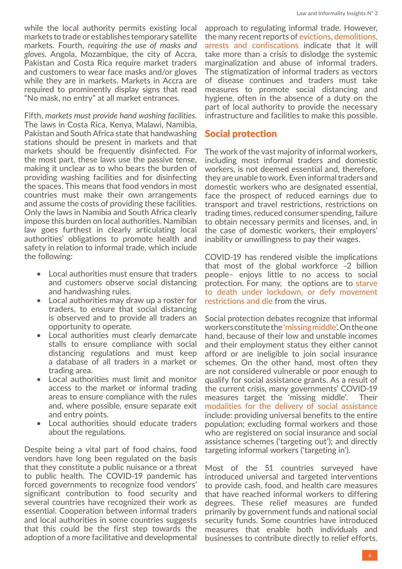while the local authority permits existing local markets to trade or establishes temporary satellite markets. Fourth, *requiring the use of masks and gloves*. Angola, Mozambique, the city of Accra, Pakistan and Costa Rica require market traders and customers to wear face masks and/or gloves while they are in markets. Markets in Accra are required to prominently display signs that read "No mask, no entry" at all market entrances.

Fifth, *markets must provide hand washing facilities*. The laws in Costa Rica, Kenya, Malawi, Namibia, Pakistan and South Africa state that handwashing stations should be present in markets and that markets should be frequently disinfected. For the most part, these laws use the passive tense, making it unclear as to who bears the burden of providing washing facilities and for disinfecting the spaces. This means that food vendors in most countries must make their own arrangements and assume the costs of providing these facilities. Only the laws in Namibia and South Africa clearly impose this burden on local authorities. Namibian law goes furthest in clearly articulating local authorities' obligations to promote health and safety in relation to informal trade, which include the following:

- Local authorities must ensure that traders and customers observe social distancing and handwashing rules.
- Local authorities may draw up a roster for traders, to ensure that social distancing is observed and to provide all traders an opportunity to operate.
- Local authorities must clearly demarcate stalls to ensure compliance with social distancing regulations and must keep a database of all traders in a market or trading area.
- Local authorities must limit and monitor access to the market or informal trading areas to ensure compliance with the rules and, where possible, ensure separate exit and entry points.
- Local authorities should educate traders about the regulations.

Despite being a vital part of food chains, food vendors have long been regulated on the basis that they constitute a public nuisance or a threat to public health. The COVID-19 pandemic has forced governments to recognize food vendors' significant contribution to food security and several countries have recognized their work as essential. Cooperation between informal traders and local authorities in some countries suggests that this could be the first step towards the adoption of a more facilitative and developmental approach to regulating informal trade. However, the many recent reports of [evictions, demolitions,](https://www.wiego.org/blog/worlds-street-vendors-life-may-never-be-same-after-covid-19) [arrests and confiscations](https://www.wiego.org/blog/worlds-street-vendors-life-may-never-be-same-after-covid-19) indicate that it will take more than a crisis to dislodge the systemic marginalization and abuse of informal traders. The [stigmatization of informal traders](https://www.wiego.org/blog/worlds-street-vendors-life-may-never-be-same-after-covid-19) as vectors of disease continues and traders must take measures to promote social distancing and hygiene, often in the absence of a duty on the part of local authority to provide the necessary infrastructure and facilities to make this possible.

#### Social protection

The work of the vast majority of informal workers, including most informal traders and domestic workers, is not deemed essential and, therefore, they are unable to work. Even informal traders and domestic workers who are designated essential, face the prospect of reduced earnings due to transport and travel restrictions, restrictions on trading times, reduced consumer spending, failure to obtain necessary permits and licenses, and, in the case of domestic workers, their employers' inability or unwillingness to pay their wages.

COVID-19 has rendered visible the implications that most of the global workforce –2 billion people– enjoys little to no access to social protection. For many, the options are to [starve](https://www.wiego.org/blog/die-hunger-or-virus-all-too-real-dilemma-poor-india-and-elsewhere) [to death under lockdown, or defy movement](https://www.wiego.org/blog/die-hunger-or-virus-all-too-real-dilemma-poor-india-and-elsewhere) [restrictions and die](https://www.wiego.org/blog/die-hunger-or-virus-all-too-real-dilemma-poor-india-and-elsewhere) from the virus.

Social protection debates recognize that informal workers constitute the ['missing middle'](https://onlinelibrary.wiley.com/doi/full/10.1111/dech.12563). On the one hand, because of their low and unstable incomes and their employment status they either cannot afford or are ineligible to join social insurance schemes. On the other hand, most often they are not considered vulnerable or poor enough to qualify for social assistance grants. As a result of the current crisis, many governments' COVID-19 measures target the 'missing middle'. Their [modalities for the delivery of social assistance](https://socialprotection.org/discover/blog/impacts-covid-19-crisis-employment-potential-solutions-informal-self-employed-workers) include: providing universal benefits to the entire population; excluding formal workers and those who are registered on social insurance and social assistance schemes ('targeting out'); and directly targeting informal workers ('targeting in').

Most of the 51 countries surveyed have introduced universal and targeted interventions to provide cash, food, and health care measures that have reached informal workers to differing degrees. These relief measures are funded primarily by government funds and national social security funds. Some countries have introduced measures that enable both individuals and businesses to contribute directly to relief efforts.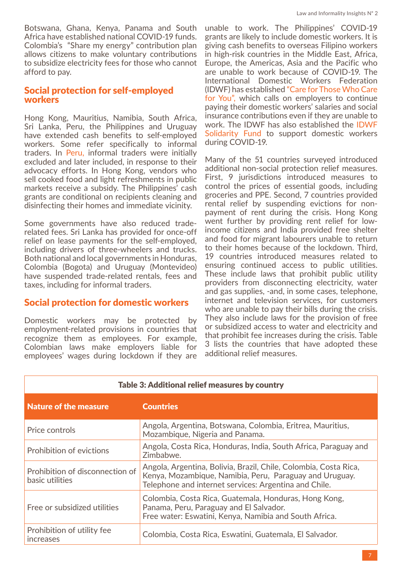Botswana, Ghana, Kenya, Panama and South Africa have established national COVID-19 funds. Colombia's "Share my energy" contribution plan allows citizens to make voluntary contributions to subsidize electricity fees for those who cannot afford to pay.

#### Social protection for self-employed workers

Hong Kong, Mauritius, Namibia, South Africa, Sri Lanka, Peru, the Philippines and Uruguay have extended cash benefits to self-employed workers. Some refer specifically to informal traders. In [Peru,](https://www.wiego.org/blog/how-are-perus-street-vendors-facing-covid-19) informal traders were initially excluded and later included, in response to their advocacy efforts. In Hong Kong, vendors who sell cooked food and light refreshments in public markets receive a subsidy. The Philippines' cash grants are conditional on recipients cleaning and disinfecting their homes and immediate vicinity.

Some governments have also reduced traderelated fees. Sri Lanka has provided for once-off relief on lease payments for the self-employed, including drivers of three-wheelers and trucks. Both national and local governments in Honduras, Colombia (Bogota) and Uruguay (Montevideo) have suspended trade-related rentals, fees and taxes, including for informal traders.

#### Social protection for domestic workers

Domestic workers may be protected by employment-related provisions in countries that recognize them as employees. For example, Colombian laws make employers liable for employees' wages during lockdown if they are

unable to work. The Philippines' COVID-19 grants are likely to include domestic workers. It is giving cash benefits to overseas Filipino workers in high-risk countries in the Middle East, Africa, Europe, the Americas, Asia and the Pacific who are unable to work because of COVID-19. The International Domestic Workers Federation (IDWF) has established ["Care for Those Who Care](https://idwfed.org/en/covid-19/advocacy-to-the-target-groups) [for You",](https://idwfed.org/en/covid-19/advocacy-to-the-target-groups) which calls on employers to continue paying their domestic workers' salaries and social insurance contributions even if they are unable to work. The IDWF has also established the [IDWF](https://idwfed.org/en/covid-19/the-idwf/solidarity-fund) [Solidarity Fund](https://idwfed.org/en/covid-19/the-idwf/solidarity-fund) to support domestic workers during COVID-19.

Many of the 51 countries surveyed introduced additional non-social protection relief measures. First, 9 jurisdictions introduced measures to control the prices of essential goods, including groceries and PPE. Second, 7 countries provided rental relief by suspending evictions for nonpayment of rent during the crisis. Hong Kong went further by providing rent relief for lowincome citizens and India provided free shelter and food for migrant labourers unable to return to their homes because of the lockdown. Third, 19 countries introduced measures related to ensuring continued access to public utilities. These include laws that prohibit public utility providers from disconnecting electricity, water and gas supplies, -and, in some cases, telephone, internet and television services, for customers who are unable to pay their bills during the crisis. They also include laws for the provision of free or subsidized access to water and electricity and that prohibit fee increases during the crisis. Table 3 lists the countries that have adopted these additional relief measures.

| Table 3: Additional relief measures by country     |                                                                                                                                                                                      |  |  |
|----------------------------------------------------|--------------------------------------------------------------------------------------------------------------------------------------------------------------------------------------|--|--|
| <b>Nature of the measure</b>                       | <b>Countries</b>                                                                                                                                                                     |  |  |
| Price controls                                     | Angola, Argentina, Botswana, Colombia, Eritrea, Mauritius,<br>Mozambique, Nigeria and Panama.                                                                                        |  |  |
| Prohibition of evictions                           | Angola, Costa Rica, Honduras, India, South Africa, Paraguay and<br>Zimbabwe.                                                                                                         |  |  |
| Prohibition of disconnection of<br>basic utilities | Angola, Argentina, Bolivia, Brazil, Chile, Colombia, Costa Rica,<br>Kenya, Mozambique, Namibia, Peru, Paraguay and Uruguay.<br>Telephone and internet services: Argentina and Chile. |  |  |
| Free or subsidized utilities                       | Colombia, Costa Rica, Guatemala, Honduras, Hong Kong,<br>Panama, Peru, Paraguay and El Salvador.<br>Free water: Eswatini, Kenya, Namibia and South Africa.                           |  |  |
| Prohibition of utility fee<br><b>Increases</b>     | Colombia, Costa Rica, Eswatini, Guatemala, El Salvador.                                                                                                                              |  |  |